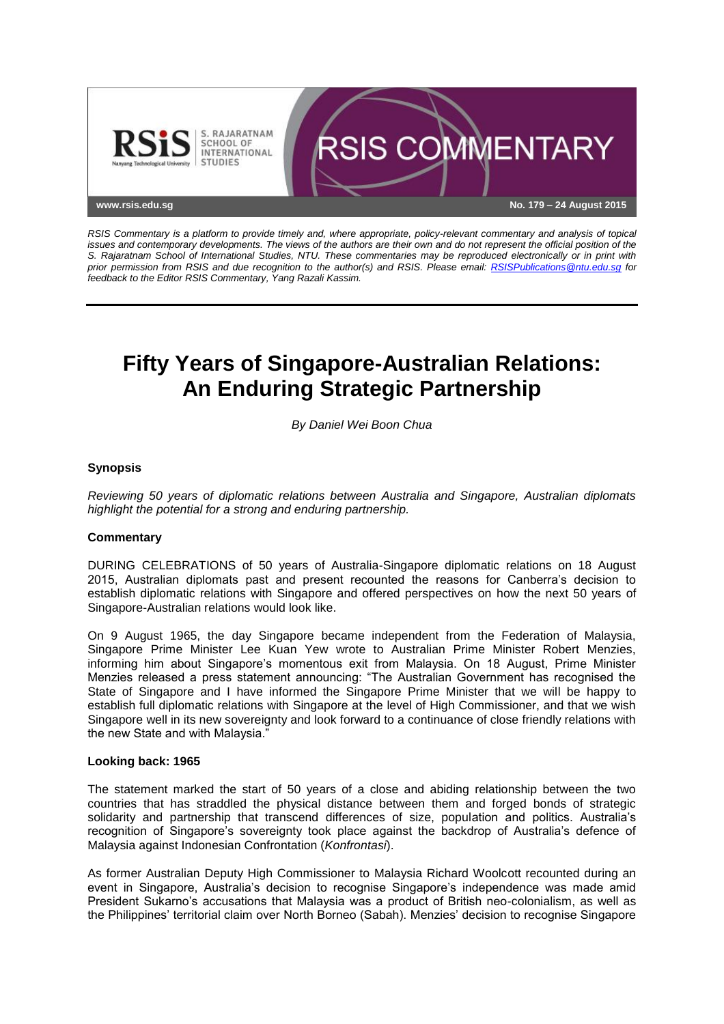

*RSIS Commentary is a platform to provide timely and, where appropriate, policy-relevant commentary and analysis of topical issues and contemporary developments. The views of the authors are their own and do not represent the official position of the S. Rajaratnam School of International Studies, NTU. These commentaries may be reproduced electronically or in print with prior permission from RSIS and due recognition to the author(s) and RSIS. Please email: [RSISPublications@ntu.edu.sg](mailto:RSISPublications@ntu.edu.sg) for feedback to the Editor RSIS Commentary, Yang Razali Kassim.*

# **Fifty Years of Singapore-Australian Relations: An Enduring Strategic Partnership**

*By Daniel Wei Boon Chua*

## **Synopsis**

*Reviewing 50 years of diplomatic relations between Australia and Singapore, Australian diplomats highlight the potential for a strong and enduring partnership.*

#### **Commentary**

DURING CELEBRATIONS of 50 years of Australia-Singapore diplomatic relations on 18 August 2015, Australian diplomats past and present recounted the reasons for Canberra's decision to establish diplomatic relations with Singapore and offered perspectives on how the next 50 years of Singapore-Australian relations would look like.

On 9 August 1965, the day Singapore became independent from the Federation of Malaysia, Singapore Prime Minister Lee Kuan Yew wrote to Australian Prime Minister Robert Menzies, informing him about Singapore's momentous exit from Malaysia. On 18 August, Prime Minister Menzies released a press statement announcing: "The Australian Government has recognised the State of Singapore and I have informed the Singapore Prime Minister that we will be happy to establish full diplomatic relations with Singapore at the level of High Commissioner, and that we wish Singapore well in its new sovereignty and look forward to a continuance of close friendly relations with the new State and with Malaysia."

#### **Looking back: 1965**

The statement marked the start of 50 years of a close and abiding relationship between the two countries that has straddled the physical distance between them and forged bonds of strategic solidarity and partnership that transcend differences of size, population and politics. Australia's recognition of Singapore's sovereignty took place against the backdrop of Australia's defence of Malaysia against Indonesian Confrontation (*Konfrontasi*).

As former Australian Deputy High Commissioner to Malaysia Richard Woolcott recounted during an event in Singapore, Australia's decision to recognise Singapore's independence was made amid President Sukarno's accusations that Malaysia was a product of British neo-colonialism, as well as the Philippines' territorial claim over North Borneo (Sabah). Menzies' decision to recognise Singapore